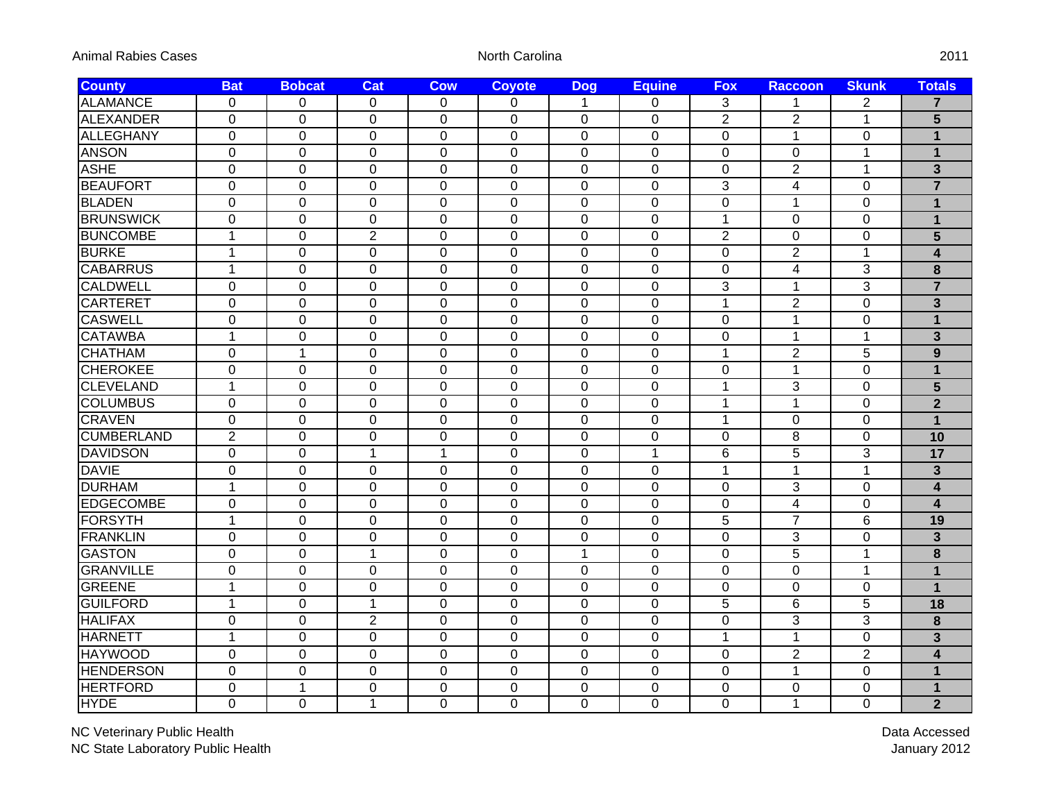| Animal Rabies Cases |  |  |  |
|---------------------|--|--|--|
|---------------------|--|--|--|

North Carolina

| <b>County</b>     | <b>Bat</b>     | <b>Bobcat</b>  | <b>Cat</b>     | <b>Cow</b>     | <b>Coyote</b>  | <b>Dog</b>  | <b>Equine</b> | <b>Fox</b>     | <b>Raccoon</b>          | <b>Skunk</b>   | <b>Totals</b>           |
|-------------------|----------------|----------------|----------------|----------------|----------------|-------------|---------------|----------------|-------------------------|----------------|-------------------------|
| <b>ALAMANCE</b>   | 0              | $\Omega$       | $\Omega$       | 0              | 0              | 1           | 0             | 3              | $\mathbf 1$             | $\overline{2}$ | $\overline{7}$          |
| <b>ALEXANDER</b>  | $\overline{0}$ | $\overline{0}$ | $\mathbf 0$    | $\overline{0}$ | $\overline{0}$ | $\mathbf 0$ | 0             | $\overline{2}$ | $\overline{2}$          | 1              | 5                       |
| <b>ALLEGHANY</b>  | $\mathbf 0$    | $\Omega$       | $\Omega$       | $\Omega$       | $\Omega$       | 0           | 0             | 0              | $\mathbf{1}$            | $\Omega$       | $\mathbf 1$             |
| <b>ANSON</b>      | $\mathbf 0$    | 0              | $\mathbf 0$    | $\mathbf 0$    | $\Omega$       | $\mathbf 0$ | $\mathbf 0$   | 0              | 0                       | 1              | $\overline{\mathbf{1}}$ |
| <b>ASHE</b>       | $\mathbf 0$    | $\Omega$       | $\mathbf 0$    | 0              | $\mathbf 0$    | $\mathbf 0$ | $\mathbf 0$   | $\mathbf 0$    | $\overline{2}$          | $\mathbf{1}$   | $\overline{\mathbf{3}}$ |
| <b>BEAUFORT</b>   | $\mathbf 0$    | 0              | $\overline{0}$ | $\mathbf 0$    | $\mathbf 0$    | $\mathbf 0$ | $\mathbf 0$   | 3              | $\overline{\mathbf{4}}$ | 0              | $\overline{7}$          |
| <b>BLADEN</b>     | $\mathbf 0$    | 0              | $\mathbf 0$    | $\overline{0}$ | $\mathbf 0$    | $\mathbf 0$ | 0             | $\mathbf 0$    | $\mathbf{1}$            | $\mathbf 0$    | $\overline{1}$          |
| <b>BRUNSWICK</b>  | $\mathbf 0$    | $\Omega$       | $\mathbf 0$    | $\overline{0}$ | $\mathbf 0$    | $\mathbf 0$ | 0             | $\mathbf{1}$   | 0                       | $\overline{0}$ | $\overline{1}$          |
| <b>BUNCOMBE</b>   | $\mathbf{1}$   | $\Omega$       | $\overline{2}$ | $\overline{0}$ | $\mathbf 0$    | $\mathbf 0$ | $\mathbf 0$   | $\overline{2}$ | 0                       | $\overline{0}$ | 5                       |
| <b>BURKE</b>      | $\mathbf{1}$   | 0              | $\mathbf 0$    | $\overline{0}$ | $\mathbf 0$    | $\mathbf 0$ | $\mathbf 0$   | $\mathbf 0$    | $\overline{2}$          | 1              | $\overline{\mathbf{4}}$ |
| <b>CABARRUS</b>   | $\mathbf{1}$   | $\mathbf 0$    | $\mathbf 0$    | $\mathbf 0$    | $\mathbf 0$    | $\mathbf 0$ | $\mathbf 0$   | 0              | $\overline{\mathbf{4}}$ | 3              | 8                       |
| <b>CALDWELL</b>   | $\mathbf 0$    | $\overline{0}$ | $\mathbf 0$    | $\mathbf 0$    | $\mathbf 0$    | $\mathbf 0$ | $\mathbf 0$   | 3              | 1                       | 3              | $\overline{7}$          |
| <b>CARTERET</b>   | $\mathbf 0$    | $\mathbf 0$    | $\mathbf 0$    | $\mathbf 0$    | $\mathbf 0$    | $\mathbf 0$ | $\mathbf 0$   | $\mathbf{1}$   | $\overline{2}$          | $\overline{0}$ | $\overline{\mathbf{3}}$ |
| <b>CASWELL</b>    | 0              | $\mathbf 0$    | $\mathbf 0$    | 0              | $\mathbf 0$    | $\mathbf 0$ | $\mathbf 0$   | 0              | 1                       | 0              | $\overline{1}$          |
| <b>CATAWBA</b>    | $\mathbf{1}$   | 0              | $\mathbf 0$    | $\mathbf 0$    | $\mathbf 0$    | $\mathbf 0$ | $\mathbf 0$   | 0              | 1                       | 1              | $\overline{3}$          |
| <b>CHATHAM</b>    | $\Omega$       | 1              | 0              | $\Omega$       | $\Omega$       | 0           | 0             | 1              | $\overline{2}$          | 5              | 9                       |
| <b>CHEROKEE</b>   | $\mathbf 0$    | $\mathbf 0$    | $\mathbf 0$    | $\mathbf 0$    | $\mathbf 0$    | $\pmb{0}$   | $\mathbf 0$   | 0              | 1                       | $\overline{0}$ | $\overline{1}$          |
| <b>CLEVELAND</b>  | $\mathbf{1}$   | 0              | $\mathbf 0$    | 0              | $\mathbf 0$    | $\mathbf 0$ | $\mathbf 0$   | $\mathbf{1}$   | 3                       | 0              | 5                       |
| <b>COLUMBUS</b>   | 0              | $\overline{0}$ | $\overline{0}$ | $\overline{0}$ | $\mathbf 0$    | $\mathbf 0$ | $\mathbf 0$   | $\mathbf{1}$   | $\mathbf{1}$            | 0              | $\overline{2}$          |
| <b>CRAVEN</b>     | $\Omega$       | $\Omega$       | 0              | $\mathbf 0$    | 0              | 0           | $\mathbf 0$   | $\mathbf{1}$   | 0                       | $\mathbf 0$    | $\overline{\mathbf{1}}$ |
| <b>CUMBERLAND</b> | $\overline{2}$ | $\mathbf 0$    | $\mathbf 0$    | $\mathbf 0$    | $\mathbf 0$    | $\mathbf 0$ | $\mathbf 0$   | $\mathbf 0$    | 8                       | $\overline{0}$ | 10                      |
| <b>DAVIDSON</b>   | $\mathbf 0$    | $\mathbf 0$    | $\mathbf{1}$   | $\mathbf{1}$   | $\mathbf 0$    | $\mathbf 0$ | $\mathbf{1}$  | 6              | 5                       | 3              | 17                      |
| <b>DAVIE</b>      | $\overline{0}$ | 0              | $\Omega$       | $\mathbf 0$    | $\mathbf 0$    | $\mathbf 0$ | 0             | $\mathbf{1}$   | $\mathbf{1}$            | $\mathbf{1}$   | $\overline{\mathbf{3}}$ |
| <b>DURHAM</b>     | $\mathbf{1}$   | $\overline{0}$ | $\mathbf 0$    | $\mathbf 0$    | $\mathbf 0$    | $\mathbf 0$ | $\mathbf 0$   | 0              | 3                       | $\mathbf 0$    | $\overline{\mathbf{4}}$ |
| <b>EDGECOMBE</b>  | $\mathbf 0$    | $\overline{0}$ | $\mathbf 0$    | $\mathbf 0$    | $\mathbf 0$    | $\mathbf 0$ | $\mathbf 0$   | 0              | $\overline{\mathbf{4}}$ | $\mathbf 0$    | $\overline{\mathbf{4}}$ |
| <b>FORSYTH</b>    | $\mathbf{1}$   | $\mathbf 0$    | $\mathbf 0$    | $\mathbf 0$    | $\mathbf 0$    | $\mathbf 0$ | $\pmb{0}$     | $\overline{5}$ | $\overline{7}$          | 6              | 19                      |
| <b>FRANKLIN</b>   | 0              | 0              | 0              | 0              | 0              | 0           | $\mathbf 0$   | 0              | 3                       | 0              | $\overline{3}$          |
| <b>GASTON</b>     | $\overline{0}$ | $\Omega$       | $\mathbf{1}$   | 0              | 0              | 1           | 0             | 0              | $\overline{5}$          | $\mathbf 1$    | 8                       |
| <b>GRANVILLE</b>  | $\mathbf 0$    | 0              | 0              | 0              | 0              | 0           | 0             | 0              | 0                       | $\mathbf{1}$   | $\mathbf{1}$            |
| <b>GREENE</b>     | 1              | $\mathbf 0$    | $\pmb{0}$      | $\mathbf 0$    | $\mathbf 0$    | $\pmb{0}$   | $\pmb{0}$     | 0              | 0                       | $\mathbf 0$    | $\mathbf{1}$            |
| <b>GUILFORD</b>   | $\mathbf{1}$   | 0              | $\mathbf 1$    | 0              | 0              | 0           | $\mathbf 0$   | 5              | 6                       | 5              | 18                      |
| <b>HALIFAX</b>    | $\overline{0}$ | $\mathbf 0$    | $\overline{2}$ | $\mathbf 0$    | $\mathbf 0$    | $\mathbf 0$ | $\mathbf 0$   | $\mathbf 0$    | 3                       | 3              | 8                       |
| <b>HARNETT</b>    | $\mathbf{1}$   | $\mathbf 0$    | $\mathbf 0$    | $\mathbf 0$    | $\mathbf 0$    | $\mathbf 0$ | $\mathbf 0$   | $\mathbf{1}$   | $\mathbf{1}$            | $\overline{0}$ | $\overline{\mathbf{3}}$ |
| <b>HAYWOOD</b>    | $\mathbf 0$    | $\mathbf 0$    | $\mathbf 0$    | $\mathbf 0$    | $\mathbf 0$    | $\mathbf 0$ | $\pmb{0}$     | 0              | $\overline{2}$          | $\overline{2}$ | $\overline{\mathbf{4}}$ |
| <b>HENDERSON</b>  | $\mathbf 0$    | $\mathbf 0$    | $\mathbf 0$    | $\mathbf 0$    | $\mathbf 0$    | $\mathbf 0$ | $\mathbf 0$   | $\mathbf 0$    | $\mathbf{1}$            | $\mathbf 0$    | $\mathbf 1$             |
| <b>HERTFORD</b>   | $\mathbf 0$    | 1              | $\mathbf 0$    | 0              | $\mathbf 0$    | $\mathbf 0$ | $\mathbf 0$   | 0              | 0                       | $\mathbf 0$    | $\mathbf{1}$            |
| <b>HYDE</b>       | $\overline{0}$ | $\Omega$       | 1              | $\Omega$       | $\overline{0}$ | $\Omega$    | $\Omega$      | $\Omega$       | $\mathbf{1}$            | $\overline{0}$ | $\overline{2}$          |